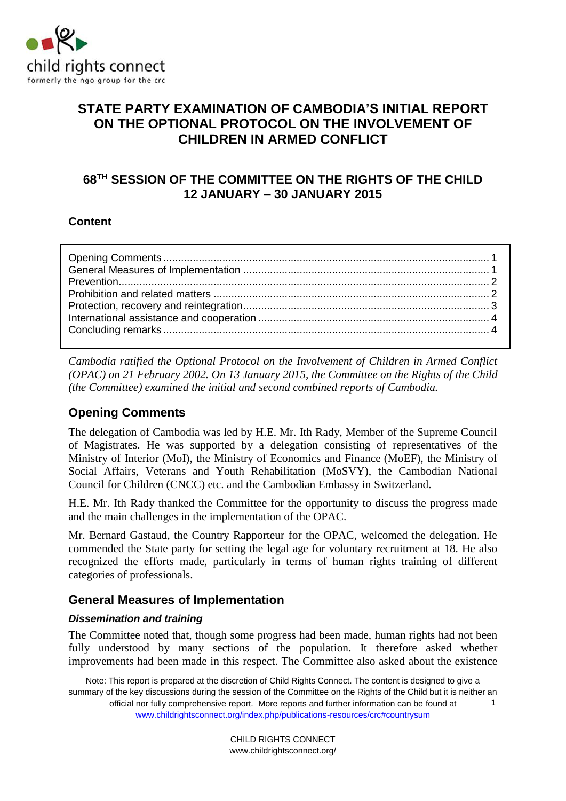

# **STATE PARTY EXAMINATION OF CAMBODIA'S INITIAL REPORT ON THE OPTIONAL PROTOCOL ON THE INVOLVEMENT OF CHILDREN IN ARMED CONFLICT**

# **68 TH SESSION OF THE COMMITTEE ON THE RIGHTS OF THE CHILD 12 JANUARY – 30 JANUARY 2015**

#### **Content**

*Cambodia ratified the Optional Protocol on the Involvement of Children in Armed Conflict (OPAC) on 21 February 2002. On 13 January 2015, the Committee on the Rights of the Child (the Committee) examined the initial and second combined reports of Cambodia.* 

## <span id="page-0-0"></span>**Opening Comments**

The delegation of Cambodia was led by H.E. Mr. Ith Rady, Member of the Supreme Council of Magistrates. He was supported by a delegation consisting of representatives of the Ministry of Interior (MoI), the Ministry of Economics and Finance (MoEF), the Ministry of Social Affairs, Veterans and Youth Rehabilitation (MoSVY), the Cambodian National Council for Children (CNCC) etc. and the Cambodian Embassy in Switzerland.

H.E. Mr. Ith Rady thanked the Committee for the opportunity to discuss the progress made and the main challenges in the implementation of the OPAC.

Mr. Bernard Gastaud, the Country Rapporteur for the OPAC, welcomed the delegation. He commended the State party for setting the legal age for voluntary recruitment at 18. He also recognized the efforts made, particularly in terms of human rights training of different categories of professionals.

## <span id="page-0-1"></span>**General Measures of Implementation**

#### *Dissemination and training*

The Committee noted that, though some progress had been made, human rights had not been fully understood by many sections of the population. It therefore asked whether improvements had been made in this respect. The Committee also asked about the existence

Note: This report is prepared at the discretion of Child Rights Connect. The content is designed to give a summary of the key discussions during the session of the Committee on the Rights of the Child but it is neither an official nor fully comprehensive report. More reports and further information can be found at [www.childrightsconnect.org/index.php/publications-resources/crc#countrysum](http://www.childrightsconnect.org/index.php/publications-resources/crc#countrysum) 1

> CHILD RIGHTS CONNECT www.childrightsconnect.org/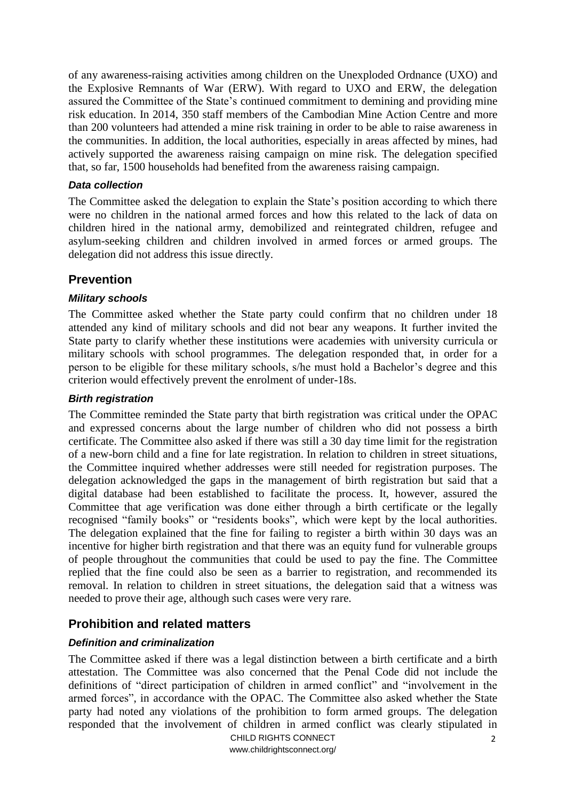of any awareness-raising activities among children on the Unexploded Ordnance (UXO) and the Explosive Remnants of War (ERW). With regard to UXO and ERW, the delegation assured the Committee of the State's continued commitment to demining and providing mine risk education. In 2014, 350 staff members of the Cambodian Mine Action Centre and more than 200 volunteers had attended a mine risk training in order to be able to raise awareness in the communities. In addition, the local authorities, especially in areas affected by mines, had actively supported the awareness raising campaign on mine risk. The delegation specified that, so far, 1500 households had benefited from the awareness raising campaign.

#### *Data collection*

The Committee asked the delegation to explain the State's position according to which there were no children in the national armed forces and how this related to the lack of data on children hired in the national army, demobilized and reintegrated children, refugee and asylum-seeking children and children involved in armed forces or armed groups. The delegation did not address this issue directly.

## <span id="page-1-0"></span>**Prevention**

#### *Military schools*

The Committee asked whether the State party could confirm that no children under 18 attended any kind of military schools and did not bear any weapons. It further invited the State party to clarify whether these institutions were academies with university curricula or military schools with school programmes. The delegation responded that, in order for a person to be eligible for these military schools, s/he must hold a Bachelor's degree and this criterion would effectively prevent the enrolment of under-18s.

#### *Birth registration*

The Committee reminded the State party that birth registration was critical under the OPAC and expressed concerns about the large number of children who did not possess a birth certificate. The Committee also asked if there was still a 30 day time limit for the registration of a new-born child and a fine for late registration. In relation to children in street situations, the Committee inquired whether addresses were still needed for registration purposes. The delegation acknowledged the gaps in the management of birth registration but said that a digital database had been established to facilitate the process. It, however, assured the Committee that age verification was done either through a birth certificate or the legally recognised "family books" or "residents books", which were kept by the local authorities. The delegation explained that the fine for failing to register a birth within 30 days was an incentive for higher birth registration and that there was an equity fund for vulnerable groups of people throughout the communities that could be used to pay the fine. The Committee replied that the fine could also be seen as a barrier to registration, and recommended its removal. In relation to children in street situations, the delegation said that a witness was needed to prove their age, although such cases were very rare.

## <span id="page-1-1"></span>**Prohibition and related matters**

#### *Definition and criminalization*

The Committee asked if there was a legal distinction between a birth certificate and a birth attestation. The Committee was also concerned that the Penal Code did not include the definitions of "direct participation of children in armed conflict" and "involvement in the armed forces", in accordance with the OPAC. The Committee also asked whether the State party had noted any violations of the prohibition to form armed groups. The delegation responded that the involvement of children in armed conflict was clearly stipulated in

> CHILD RIGHTS CONNECT www.childrightsconnect.org/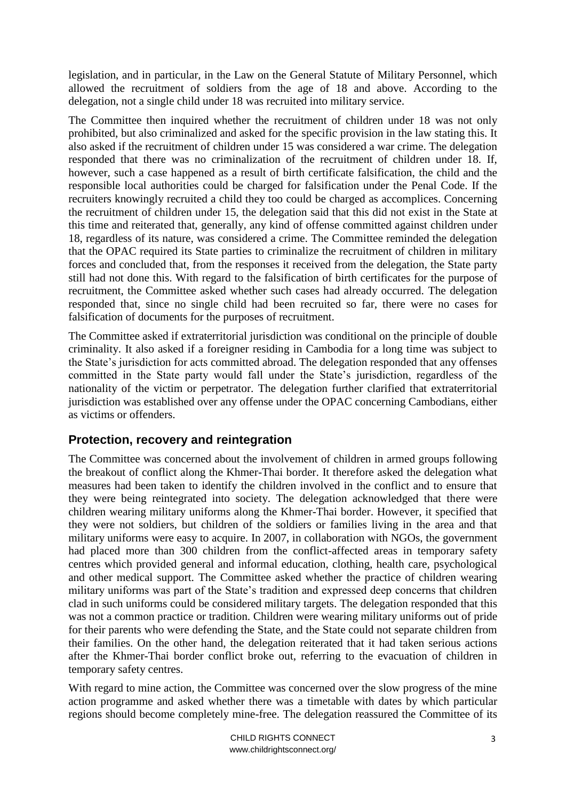legislation, and in particular, in the Law on the General Statute of Military Personnel, which allowed the recruitment of soldiers from the age of 18 and above. According to the delegation, not a single child under 18 was recruited into military service.

The Committee then inquired whether the recruitment of children under 18 was not only prohibited, but also criminalized and asked for the specific provision in the law stating this. It also asked if the recruitment of children under 15 was considered a war crime. The delegation responded that there was no criminalization of the recruitment of children under 18. If, however, such a case happened as a result of birth certificate falsification, the child and the responsible local authorities could be charged for falsification under the Penal Code. If the recruiters knowingly recruited a child they too could be charged as accomplices. Concerning the recruitment of children under 15, the delegation said that this did not exist in the State at this time and reiterated that, generally, any kind of offense committed against children under 18, regardless of its nature, was considered a crime. The Committee reminded the delegation that the OPAC required its State parties to criminalize the recruitment of children in military forces and concluded that, from the responses it received from the delegation, the State party still had not done this. With regard to the falsification of birth certificates for the purpose of recruitment, the Committee asked whether such cases had already occurred. The delegation responded that, since no single child had been recruited so far, there were no cases for falsification of documents for the purposes of recruitment.

The Committee asked if extraterritorial jurisdiction was conditional on the principle of double criminality. It also asked if a foreigner residing in Cambodia for a long time was subject to the State's jurisdiction for acts committed abroad. The delegation responded that any offenses committed in the State party would fall under the State's jurisdiction, regardless of the nationality of the victim or perpetrator. The delegation further clarified that extraterritorial jurisdiction was established over any offense under the OPAC concerning Cambodians, either as victims or offenders.

## <span id="page-2-0"></span>**Protection, recovery and reintegration**

The Committee was concerned about the involvement of children in armed groups following the breakout of conflict along the Khmer-Thai border. It therefore asked the delegation what measures had been taken to identify the children involved in the conflict and to ensure that they were being reintegrated into society. The delegation acknowledged that there were children wearing military uniforms along the Khmer-Thai border. However, it specified that they were not soldiers, but children of the soldiers or families living in the area and that military uniforms were easy to acquire. In 2007, in collaboration with NGOs, the government had placed more than 300 children from the conflict-affected areas in temporary safety centres which provided general and informal education, clothing, health care, psychological and other medical support. The Committee asked whether the practice of children wearing military uniforms was part of the State's tradition and expressed deep concerns that children clad in such uniforms could be considered military targets. The delegation responded that this was not a common practice or tradition. Children were wearing military uniforms out of pride for their parents who were defending the State, and the State could not separate children from their families. On the other hand, the delegation reiterated that it had taken serious actions after the Khmer-Thai border conflict broke out, referring to the evacuation of children in temporary safety centres.

With regard to mine action, the Committee was concerned over the slow progress of the mine action programme and asked whether there was a timetable with dates by which particular regions should become completely mine-free. The delegation reassured the Committee of its